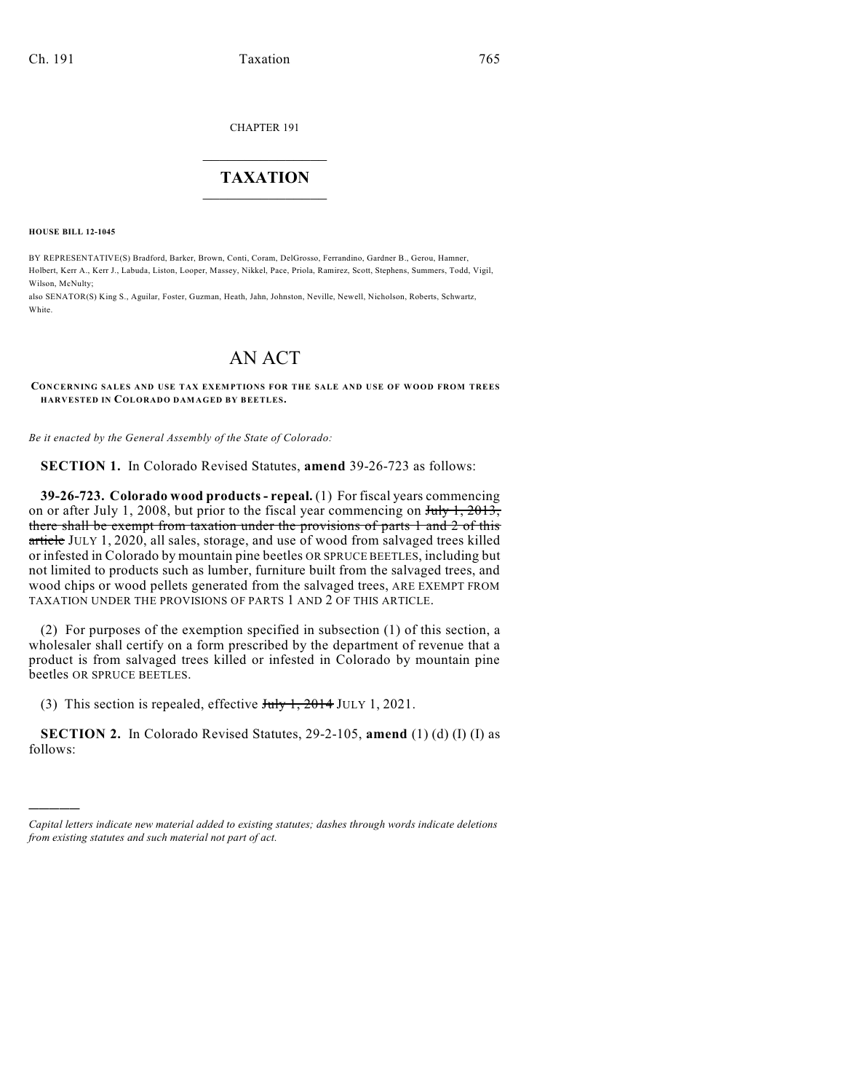CHAPTER 191

## $\mathcal{L}_\text{max}$  . The set of the set of the set of the set of the set of the set of the set of the set of the set of the set of the set of the set of the set of the set of the set of the set of the set of the set of the set **TAXATION**  $\_$

**HOUSE BILL 12-1045**

)))))

BY REPRESENTATIVE(S) Bradford, Barker, Brown, Conti, Coram, DelGrosso, Ferrandino, Gardner B., Gerou, Hamner, Holbert, Kerr A., Kerr J., Labuda, Liston, Looper, Massey, Nikkel, Pace, Priola, Ramirez, Scott, Stephens, Summers, Todd, Vigil, Wilson, McNulty;

also SENATOR(S) King S., Aguilar, Foster, Guzman, Heath, Jahn, Johnston, Neville, Newell, Nicholson, Roberts, Schwartz, White

## AN ACT

**CONCERNING SALES AND USE TAX EXEMPTIONS FOR THE SALE AND USE OF WOOD FROM TREES HARVESTED IN COLORADO DAMAGED BY BEETLES.**

*Be it enacted by the General Assembly of the State of Colorado:*

**SECTION 1.** In Colorado Revised Statutes, **amend** 39-26-723 as follows:

**39-26-723. Colorado wood products - repeal.** (1) For fiscal years commencing on or after July 1, 2008, but prior to the fiscal year commencing on  $J_{\text{uly}}$  1, 2013, there shall be exempt from taxation under the provisions of parts 1 and 2 of this article JULY 1, 2020, all sales, storage, and use of wood from salvaged trees killed or infested in Colorado by mountain pine beetles OR SPRUCE BEETLES, including but not limited to products such as lumber, furniture built from the salvaged trees, and wood chips or wood pellets generated from the salvaged trees, ARE EXEMPT FROM TAXATION UNDER THE PROVISIONS OF PARTS 1 AND 2 OF THIS ARTICLE.

(2) For purposes of the exemption specified in subsection (1) of this section, a wholesaler shall certify on a form prescribed by the department of revenue that a product is from salvaged trees killed or infested in Colorado by mountain pine beetles OR SPRUCE BEETLES.

(3) This section is repealed, effective  $J_{\text{uly}}$  1, 2014 JULY 1, 2021.

**SECTION 2.** In Colorado Revised Statutes, 29-2-105, **amend** (1) (d) (I) (I) as follows:

*Capital letters indicate new material added to existing statutes; dashes through words indicate deletions from existing statutes and such material not part of act.*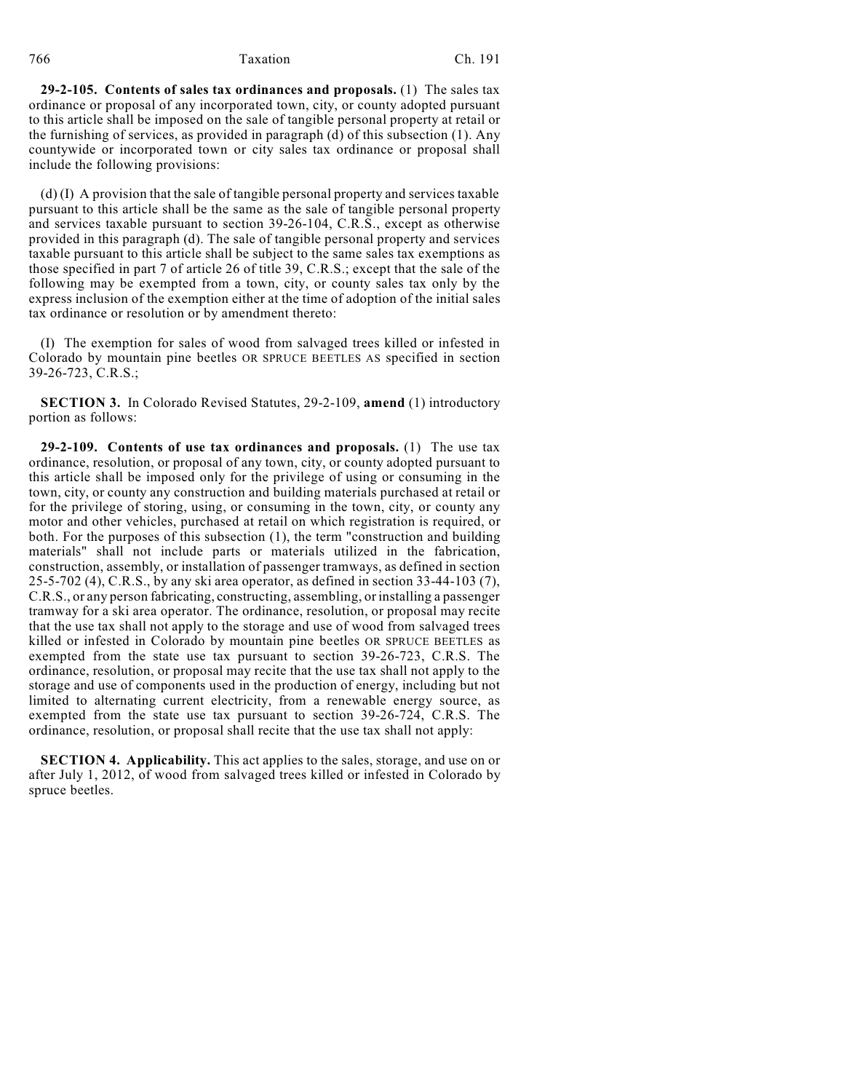## 766 Taxation Ch. 191

**29-2-105. Contents of sales tax ordinances and proposals.** (1) The sales tax ordinance or proposal of any incorporated town, city, or county adopted pursuant to this article shall be imposed on the sale of tangible personal property at retail or the furnishing of services, as provided in paragraph (d) of this subsection (1). Any countywide or incorporated town or city sales tax ordinance or proposal shall include the following provisions:

(d) (I) A provision that the sale of tangible personal property and services taxable pursuant to this article shall be the same as the sale of tangible personal property and services taxable pursuant to section 39-26-104, C.R.S., except as otherwise provided in this paragraph (d). The sale of tangible personal property and services taxable pursuant to this article shall be subject to the same sales tax exemptions as those specified in part 7 of article 26 of title 39, C.R.S.; except that the sale of the following may be exempted from a town, city, or county sales tax only by the express inclusion of the exemption either at the time of adoption of the initial sales tax ordinance or resolution or by amendment thereto:

(I) The exemption for sales of wood from salvaged trees killed or infested in Colorado by mountain pine beetles OR SPRUCE BEETLES AS specified in section 39-26-723, C.R.S.;

**SECTION 3.** In Colorado Revised Statutes, 29-2-109, **amend** (1) introductory portion as follows:

**29-2-109. Contents of use tax ordinances and proposals.** (1) The use tax ordinance, resolution, or proposal of any town, city, or county adopted pursuant to this article shall be imposed only for the privilege of using or consuming in the town, city, or county any construction and building materials purchased at retail or for the privilege of storing, using, or consuming in the town, city, or county any motor and other vehicles, purchased at retail on which registration is required, or both. For the purposes of this subsection (1), the term "construction and building materials" shall not include parts or materials utilized in the fabrication, construction, assembly, or installation of passenger tramways, as defined in section 25-5-702 (4), C.R.S., by any ski area operator, as defined in section 33-44-103 (7), C.R.S., or any person fabricating, constructing, assembling, or installing a passenger tramway for a ski area operator. The ordinance, resolution, or proposal may recite that the use tax shall not apply to the storage and use of wood from salvaged trees killed or infested in Colorado by mountain pine beetles OR SPRUCE BEETLES as exempted from the state use tax pursuant to section 39-26-723, C.R.S. The ordinance, resolution, or proposal may recite that the use tax shall not apply to the storage and use of components used in the production of energy, including but not limited to alternating current electricity, from a renewable energy source, as exempted from the state use tax pursuant to section 39-26-724, C.R.S. The ordinance, resolution, or proposal shall recite that the use tax shall not apply:

**SECTION 4. Applicability.** This act applies to the sales, storage, and use on or after July 1, 2012, of wood from salvaged trees killed or infested in Colorado by spruce beetles.